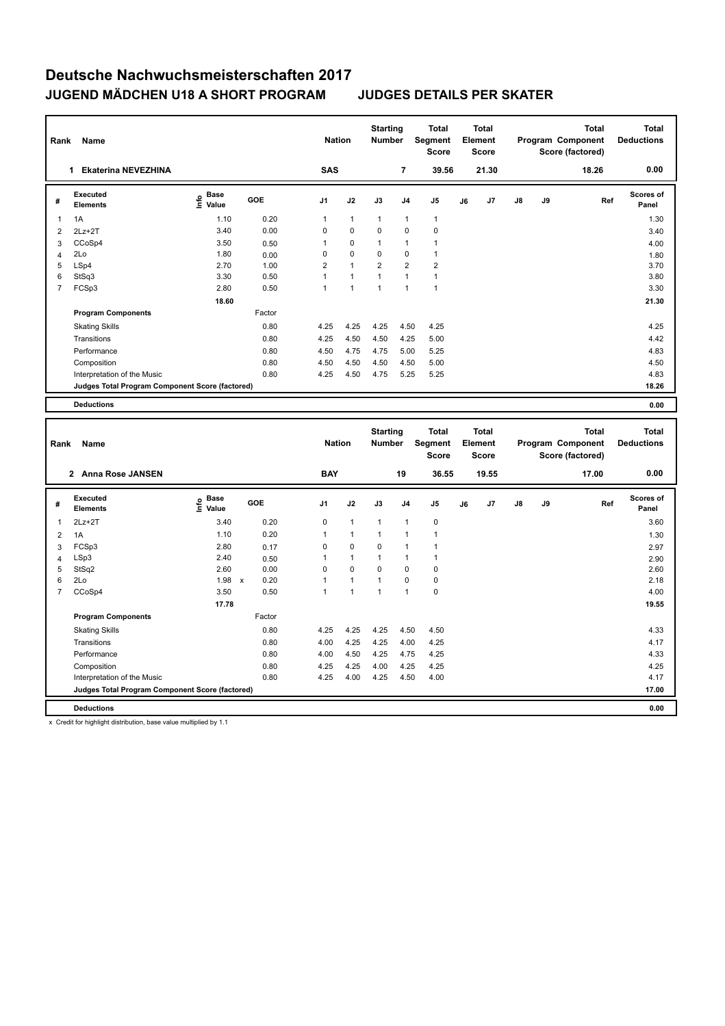| Name<br>Rank<br><b>Ekaterina NEVEZHINA</b><br>1 |                                                 |                                             |            | <b>Nation</b>  |              | <b>Starting</b><br><b>Number</b> |                | <b>Total</b><br>Segment<br><b>Score</b> |    | <b>Total</b><br>Element<br><b>Score</b> |               |    | <b>Total</b><br>Program Component<br>Score (factored) | <b>Total</b><br><b>Deductions</b> |
|-------------------------------------------------|-------------------------------------------------|---------------------------------------------|------------|----------------|--------------|----------------------------------|----------------|-----------------------------------------|----|-----------------------------------------|---------------|----|-------------------------------------------------------|-----------------------------------|
|                                                 |                                                 |                                             |            | <b>SAS</b>     |              |                                  | 7              | 39.56                                   |    | 21.30                                   |               |    | 18.26                                                 | 0.00                              |
| #                                               | Executed<br><b>Elements</b>                     | <b>Base</b><br>е <sup>Ваѕе</sup><br>⊆ Value | <b>GOE</b> | J <sub>1</sub> | J2           | J3                               | J <sub>4</sub> | J <sub>5</sub>                          | J6 | J7                                      | $\mathsf{J}8$ | J9 | Ref                                                   | <b>Scores of</b><br>Panel         |
| 1                                               | 1A                                              | 1.10                                        | 0.20       | 1              | $\mathbf{1}$ | $\overline{1}$                   | $\overline{1}$ | $\mathbf{1}$                            |    |                                         |               |    |                                                       | 1.30                              |
| $\overline{2}$                                  | $2Lz+2T$                                        | 3.40                                        | 0.00       | $\Omega$       | $\mathbf 0$  | $\Omega$                         | $\mathbf 0$    | 0                                       |    |                                         |               |    |                                                       | 3.40                              |
| 3                                               | CCoSp4                                          | 3.50                                        | 0.50       | 1              | $\mathbf 0$  | 1                                | $\overline{1}$ |                                         |    |                                         |               |    |                                                       | 4.00                              |
| 4                                               | 2Lo                                             | 1.80                                        | 0.00       | 0              | $\mathbf 0$  | 0                                | $\mathbf 0$    | $\mathbf{1}$                            |    |                                         |               |    |                                                       | 1.80                              |
| 5                                               | LSp4                                            | 2.70                                        | 1.00       | 2              | $\mathbf{1}$ | $\overline{2}$                   | $\overline{2}$ | $\overline{2}$                          |    |                                         |               |    |                                                       | 3.70                              |
| 6                                               | StSq3                                           | 3.30                                        | 0.50       | 4              | 1            | $\overline{1}$                   | $\overline{1}$ | $\mathbf{1}$                            |    |                                         |               |    |                                                       | 3.80                              |
| $\overline{7}$                                  | FCSp3                                           | 2.80                                        | 0.50       | 1              | 1            | 1                                | $\overline{1}$ | $\mathbf{1}$                            |    |                                         |               |    |                                                       | 3.30                              |
|                                                 |                                                 | 18.60                                       |            |                |              |                                  |                |                                         |    |                                         |               |    |                                                       | 21.30                             |
|                                                 | <b>Program Components</b>                       |                                             | Factor     |                |              |                                  |                |                                         |    |                                         |               |    |                                                       |                                   |
|                                                 | <b>Skating Skills</b>                           |                                             | 0.80       | 4.25           | 4.25         | 4.25                             | 4.50           | 4.25                                    |    |                                         |               |    |                                                       | 4.25                              |
|                                                 | Transitions                                     |                                             | 0.80       | 4.25           | 4.50         | 4.50                             | 4.25           | 5.00                                    |    |                                         |               |    |                                                       | 4.42                              |
|                                                 | Performance                                     |                                             | 0.80       | 4.50           | 4.75         | 4.75                             | 5.00           | 5.25                                    |    |                                         |               |    |                                                       | 4.83                              |
|                                                 | Composition                                     |                                             | 0.80       | 4.50           | 4.50         | 4.50                             | 4.50           | 5.00                                    |    |                                         |               |    |                                                       | 4.50                              |
|                                                 | Interpretation of the Music                     |                                             | 0.80       | 4.25           | 4.50         | 4.75                             | 5.25           | 5.25                                    |    |                                         |               |    |                                                       | 4.83                              |
|                                                 | Judges Total Program Component Score (factored) |                                             |            |                |              |                                  |                |                                         |    |                                         |               |    |                                                       | 18.26                             |
|                                                 | <b>Deductions</b>                               |                                             |            |                |              |                                  |                |                                         |    |                                         |               |    |                                                       | 0.00                              |

| Rank           | Name                                            |                              | <b>Nation</b> |                     | <b>Starting</b><br><b>Number</b> |              | <b>Total</b><br>Segment<br><b>Score</b> |                | <b>Total</b><br>Element<br><b>Score</b> |    |                | <b>Total</b><br>Program Component<br>Score (factored) | <b>Total</b><br><b>Deductions</b> |       |                    |
|----------------|-------------------------------------------------|------------------------------|---------------|---------------------|----------------------------------|--------------|-----------------------------------------|----------------|-----------------------------------------|----|----------------|-------------------------------------------------------|-----------------------------------|-------|--------------------|
|                | <b>Anna Rose JANSEN</b><br>$\mathbf{2}$         |                              |               |                     | <b>BAY</b>                       |              |                                         | 19             | 36.55                                   |    | 19.55          |                                                       |                                   | 17.00 | 0.00               |
| #              | Executed<br><b>Elements</b>                     | <b>Base</b><br>lnfo<br>Value | GOE           | J <sub>1</sub>      | J2                               |              | J3                                      | J <sub>4</sub> | J <sub>5</sub>                          | J6 | J <sub>7</sub> | $\mathsf{J}8$                                         | J9                                | Ref   | Scores of<br>Panel |
| 1              | $2Lz+2T$                                        | 3.40                         |               | 0.20<br>$\mathbf 0$ |                                  | $\mathbf{1}$ | $\mathbf{1}$                            | $\overline{1}$ | $\mathbf 0$                             |    |                |                                                       |                                   |       | 3.60               |
| 2              | 1A                                              | 1.10                         |               | 0.20<br>1           | $\overline{1}$                   |              | $\overline{1}$                          | $\overline{1}$ | $\mathbf{1}$                            |    |                |                                                       |                                   |       | 1.30               |
| 3              | FCSp3                                           | 2.80                         |               | 0<br>0.17           |                                  | $\mathbf 0$  | $\Omega$                                | $\overline{1}$ | 1                                       |    |                |                                                       |                                   |       | 2.97               |
| $\overline{4}$ | LSp3                                            | 2.40                         |               | 1<br>0.50           |                                  | $\mathbf{1}$ | $\overline{1}$                          | $\overline{1}$ | $\mathbf{1}$                            |    |                |                                                       |                                   |       | 2.90               |
| 5              | StSq2                                           | 2.60                         |               | 0.00<br>0           |                                  | $\mathbf 0$  | $\mathbf 0$                             | $\mathbf 0$    | 0                                       |    |                |                                                       |                                   |       | 2.60               |
| 6              | 2Lo                                             | 1.98                         | $\mathsf{x}$  | 0.20<br>1           | $\mathbf{1}$                     |              | $\mathbf{1}$                            | 0              | 0                                       |    |                |                                                       |                                   |       | 2.18               |
| $\overline{7}$ | CCoSp4                                          | 3.50                         |               | 0.50<br>1           | $\overline{1}$                   |              | $\overline{1}$                          | $\overline{1}$ | 0                                       |    |                |                                                       |                                   |       | 4.00               |
|                |                                                 | 17.78                        |               |                     |                                  |              |                                         |                |                                         |    |                |                                                       |                                   |       | 19.55              |
|                | <b>Program Components</b>                       |                              | Factor        |                     |                                  |              |                                         |                |                                         |    |                |                                                       |                                   |       |                    |
|                | <b>Skating Skills</b>                           |                              |               | 0.80<br>4.25        |                                  | 4.25         | 4.25                                    | 4.50           | 4.50                                    |    |                |                                                       |                                   |       | 4.33               |
|                | Transitions                                     |                              |               | 0.80<br>4.00        |                                  | 4.25         | 4.25                                    | 4.00           | 4.25                                    |    |                |                                                       |                                   |       | 4.17               |
|                | Performance                                     |                              |               | 0.80<br>4.00        |                                  | 4.50         | 4.25                                    | 4.75           | 4.25                                    |    |                |                                                       |                                   |       | 4.33               |
|                | Composition                                     |                              |               | 4.25<br>0.80        |                                  | 4.25         | 4.00                                    | 4.25           | 4.25                                    |    |                |                                                       |                                   |       | 4.25               |
|                | Interpretation of the Music                     |                              |               | 0.80<br>4.25        |                                  | 4.00         | 4.25                                    | 4.50           | 4.00                                    |    |                |                                                       |                                   |       | 4.17               |
|                | Judges Total Program Component Score (factored) |                              |               |                     |                                  |              |                                         |                |                                         |    |                |                                                       |                                   |       | 17.00              |
|                | <b>Deductions</b>                               |                              |               |                     |                                  |              |                                         |                |                                         |    |                |                                                       |                                   |       | 0.00               |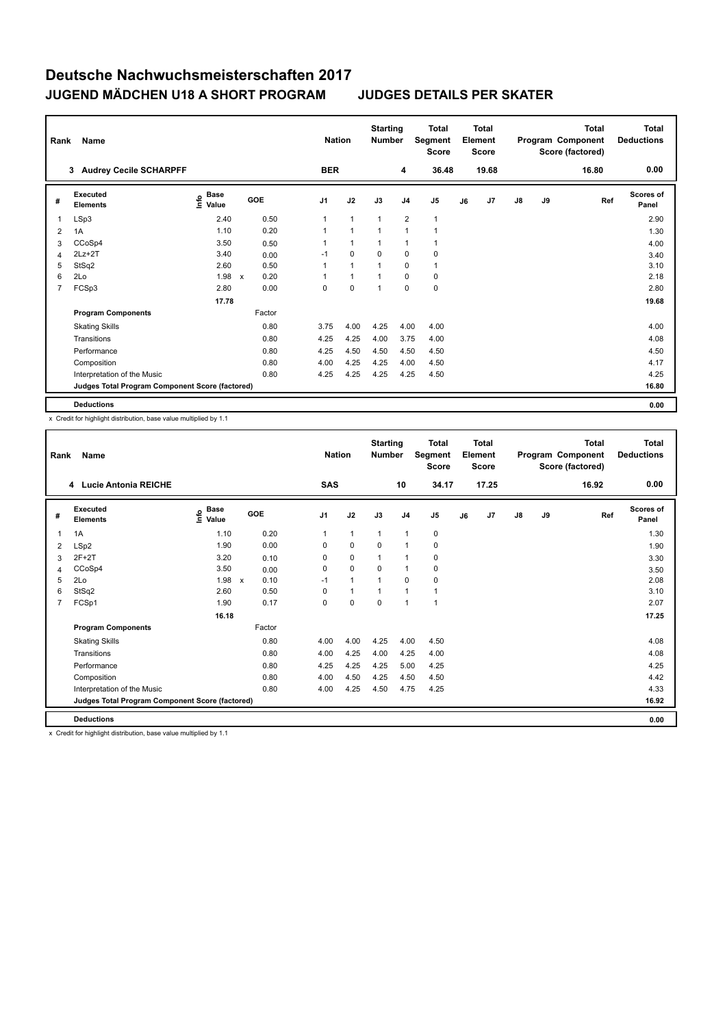| Rank           | Name                                            |                                             | <b>Nation</b>                     | <b>Starting</b><br><b>Number</b> |              | <b>Total</b><br>Segment<br><b>Score</b> |                | <b>Total</b><br>Element<br><b>Score</b> |    |       | <b>Total</b><br>Program Component<br>Score (factored) | <b>Total</b><br><b>Deductions</b> |       |                           |
|----------------|-------------------------------------------------|---------------------------------------------|-----------------------------------|----------------------------------|--------------|-----------------------------------------|----------------|-----------------------------------------|----|-------|-------------------------------------------------------|-----------------------------------|-------|---------------------------|
|                | 3 Audrey Cecile SCHARPFF                        |                                             |                                   | <b>BER</b>                       |              |                                         | 4              | 36.48                                   |    | 19.68 |                                                       |                                   | 16.80 | 0.00                      |
| #              | Executed<br><b>Elements</b>                     | <b>Base</b><br>e <sup>Base</sup><br>⊆ Value | <b>GOE</b>                        | J <sub>1</sub>                   | J2           | J3                                      | J <sub>4</sub> | J <sub>5</sub>                          | J6 | J7    | $\mathsf{J}8$                                         | J9                                | Ref   | <b>Scores of</b><br>Panel |
| 1              | LSp3                                            | 2.40                                        | 0.50                              | 1                                | $\mathbf{1}$ | $\overline{1}$                          | $\overline{2}$ | $\mathbf{1}$                            |    |       |                                                       |                                   |       | 2.90                      |
| 2              | 1A                                              | 1.10                                        | 0.20                              |                                  | 1            | $\overline{1}$                          | $\overline{1}$ | 1                                       |    |       |                                                       |                                   |       | 1.30                      |
| 3              | CCoSp4                                          | 3.50                                        | 0.50                              |                                  | $\mathbf{1}$ | 1                                       | $\overline{1}$ | $\mathbf{1}$                            |    |       |                                                       |                                   |       | 4.00                      |
| 4              | $2Lz+2T$                                        | 3.40                                        | 0.00                              | $-1$                             | $\mathbf 0$  | 0                                       | $\mathbf 0$    | 0                                       |    |       |                                                       |                                   |       | 3.40                      |
| 5              | StSq2                                           | 2.60                                        | 0.50                              | 1                                | $\mathbf{1}$ | 1                                       | $\mathbf 0$    | $\mathbf{1}$                            |    |       |                                                       |                                   |       | 3.10                      |
| 6              | 2Lo                                             | 1.98                                        | 0.20<br>$\boldsymbol{\mathsf{x}}$ |                                  | $\mathbf{1}$ | 1                                       | $\mathbf 0$    | 0                                       |    |       |                                                       |                                   |       | 2.18                      |
| $\overline{7}$ | FCSp3                                           | 2.80                                        | 0.00                              | 0                                | $\mathbf 0$  | 1                                       | $\mathbf 0$    | 0                                       |    |       |                                                       |                                   |       | 2.80                      |
|                |                                                 | 17.78                                       |                                   |                                  |              |                                         |                |                                         |    |       |                                                       |                                   |       | 19.68                     |
|                | <b>Program Components</b>                       |                                             | Factor                            |                                  |              |                                         |                |                                         |    |       |                                                       |                                   |       |                           |
|                | <b>Skating Skills</b>                           |                                             | 0.80                              | 3.75                             | 4.00         | 4.25                                    | 4.00           | 4.00                                    |    |       |                                                       |                                   |       | 4.00                      |
|                | Transitions                                     |                                             | 0.80                              | 4.25                             | 4.25         | 4.00                                    | 3.75           | 4.00                                    |    |       |                                                       |                                   |       | 4.08                      |
|                | Performance                                     |                                             | 0.80                              | 4.25                             | 4.50         | 4.50                                    | 4.50           | 4.50                                    |    |       |                                                       |                                   |       | 4.50                      |
|                | Composition                                     |                                             | 0.80                              | 4.00                             | 4.25         | 4.25                                    | 4.00           | 4.50                                    |    |       |                                                       |                                   |       | 4.17                      |
|                | Interpretation of the Music                     |                                             | 0.80                              | 4.25                             | 4.25         | 4.25                                    | 4.25           | 4.50                                    |    |       |                                                       |                                   |       | 4.25                      |
|                | Judges Total Program Component Score (factored) |                                             |                                   |                                  |              |                                         |                |                                         |    |       |                                                       |                                   |       | 16.80                     |
|                | <b>Deductions</b>                               |                                             |                                   |                                  |              |                                         |                |                                         |    |       |                                                       |                                   |       | 0.00                      |

x Credit for highlight distribution, base value multiplied by 1.1

|                | Name<br>Rank<br>4 Lucie Antonia REICHE          |                              |                           |      | <b>Nation</b>  |                | <b>Starting</b><br><b>Number</b> |                | <b>Total</b><br>Segment<br><b>Score</b> |    | <b>Total</b><br>Element<br><b>Score</b> |               |    | Total<br>Program Component<br>Score (factored) | <b>Total</b><br><b>Deductions</b> |
|----------------|-------------------------------------------------|------------------------------|---------------------------|------|----------------|----------------|----------------------------------|----------------|-----------------------------------------|----|-----------------------------------------|---------------|----|------------------------------------------------|-----------------------------------|
|                |                                                 |                              |                           |      | <b>SAS</b>     |                |                                  | 10             | 34.17                                   |    | 17.25                                   |               |    | 16.92                                          | 0.00                              |
| #              | Executed<br><b>Elements</b>                     | <b>Base</b><br>lnfo<br>Value | GOE                       |      | J <sub>1</sub> | J2             | J3                               | J <sub>4</sub> | J <sub>5</sub>                          | J6 | J7                                      | $\mathsf{J}8$ | J9 | Ref                                            | <b>Scores of</b><br>Panel         |
| 1              | 1A                                              | 1.10                         |                           | 0.20 | $\mathbf{1}$   | $\mathbf{1}$   | $\mathbf{1}$                     | $\overline{1}$ | $\mathbf 0$                             |    |                                         |               |    |                                                | 1.30                              |
| 2              | LSp2                                            | 1.90                         |                           | 0.00 | 0              | $\mathbf 0$    | $\mathbf 0$                      | $\overline{1}$ | 0                                       |    |                                         |               |    |                                                | 1.90                              |
| 3              | $2F+2T$                                         | 3.20                         |                           | 0.10 | 0              | $\mathbf 0$    | $\overline{1}$                   | $\overline{1}$ | 0                                       |    |                                         |               |    |                                                | 3.30                              |
| 4              | CCoSp4                                          | 3.50                         |                           | 0.00 | 0              | $\mathbf 0$    | 0                                | $\overline{1}$ | 0                                       |    |                                         |               |    |                                                | 3.50                              |
| 5              | 2Lo                                             | 1.98                         | $\boldsymbol{\mathsf{x}}$ | 0.10 | $-1$           | $\overline{1}$ | 1                                | 0              | 0                                       |    |                                         |               |    |                                                | 2.08                              |
| 6              | StSq2                                           | 2.60                         |                           | 0.50 | 0              | $\overline{1}$ |                                  | 1              | $\mathbf{1}$                            |    |                                         |               |    |                                                | 3.10                              |
| $\overline{7}$ | FCSp1                                           | 1.90                         |                           | 0.17 | $\Omega$       | $\mathbf 0$    | 0                                | $\overline{1}$ | $\mathbf{1}$                            |    |                                         |               |    |                                                | 2.07                              |
|                |                                                 | 16.18                        |                           |      |                |                |                                  |                |                                         |    |                                         |               |    |                                                | 17.25                             |
|                | <b>Program Components</b>                       |                              | Factor                    |      |                |                |                                  |                |                                         |    |                                         |               |    |                                                |                                   |
|                | <b>Skating Skills</b>                           |                              |                           | 0.80 | 4.00           | 4.00           | 4.25                             | 4.00           | 4.50                                    |    |                                         |               |    |                                                | 4.08                              |
|                | Transitions                                     |                              |                           | 0.80 | 4.00           | 4.25           | 4.00                             | 4.25           | 4.00                                    |    |                                         |               |    |                                                | 4.08                              |
|                | Performance                                     |                              |                           | 0.80 | 4.25           | 4.25           | 4.25                             | 5.00           | 4.25                                    |    |                                         |               |    |                                                | 4.25                              |
|                | Composition                                     |                              |                           | 0.80 | 4.00           | 4.50           | 4.25                             | 4.50           | 4.50                                    |    |                                         |               |    |                                                | 4.42                              |
|                | Interpretation of the Music                     |                              |                           | 0.80 | 4.00           | 4.25           | 4.50                             | 4.75           | 4.25                                    |    |                                         |               |    |                                                | 4.33                              |
|                | Judges Total Program Component Score (factored) |                              |                           |      |                |                |                                  |                |                                         |    |                                         |               |    |                                                | 16.92                             |
|                | <b>Deductions</b>                               |                              |                           |      |                |                |                                  |                |                                         |    |                                         |               |    |                                                | 0.00                              |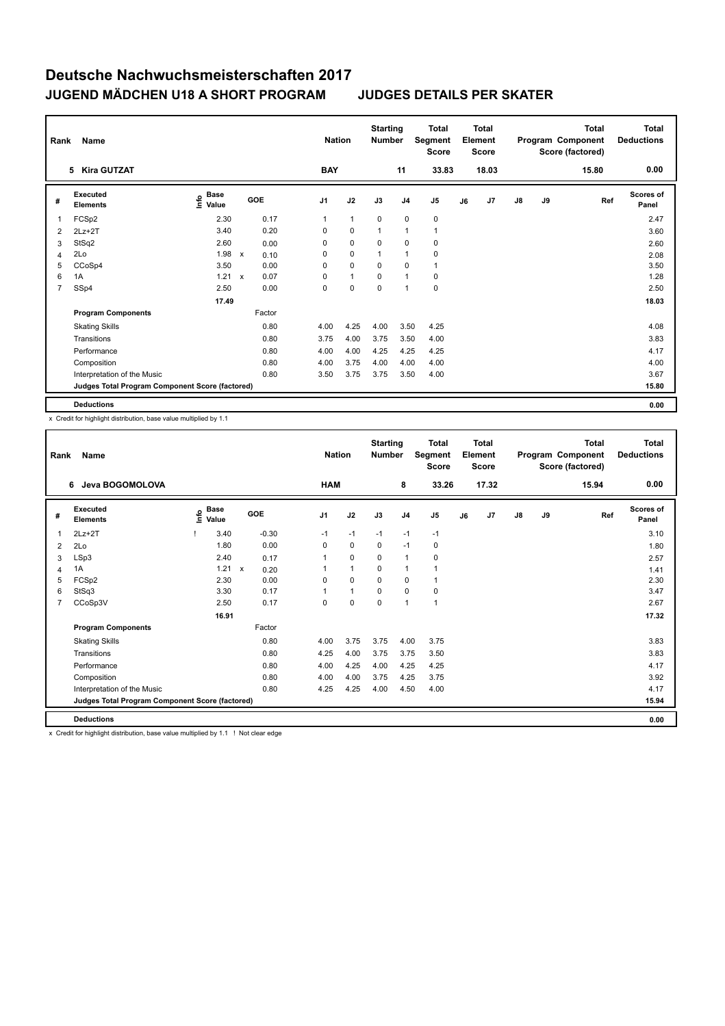| Rank | Name                                            |                                      | <b>Nation</b> | <b>Starting</b><br><b>Number</b> |            | <b>Total</b><br>Segment<br><b>Score</b> |              | <b>Total</b><br>Element<br><b>Score</b> |                |    | <b>Total</b><br>Program Component<br>Score (factored) | <b>Total</b><br><b>Deductions</b> |    |       |                           |
|------|-------------------------------------------------|--------------------------------------|---------------|----------------------------------|------------|-----------------------------------------|--------------|-----------------------------------------|----------------|----|-------------------------------------------------------|-----------------------------------|----|-------|---------------------------|
|      | <b>Kira GUTZAT</b><br>5                         |                                      |               |                                  | <b>BAY</b> |                                         |              | 11                                      | 33.83          |    | 18.03                                                 |                                   |    | 15.80 | 0.00                      |
| #    | <b>Executed</b><br><b>Elements</b>              | Base<br>e <sup>Base</sup><br>⊆ Value |               | GOE                              | J1         | J2                                      | J3           | J <sub>4</sub>                          | J <sub>5</sub> | J6 | J7                                                    | $\mathsf{J}8$                     | J9 | Ref   | <b>Scores of</b><br>Panel |
| 1    | FCSp2                                           | 2.30                                 |               | 0.17                             | 1          | $\mathbf{1}$                            | $\mathbf 0$  | $\mathbf 0$                             | $\mathbf 0$    |    |                                                       |                                   |    |       | 2.47                      |
| 2    | $2Lz+2T$                                        | 3.40                                 |               | 0.20                             | 0          | $\mathbf 0$                             | $\mathbf{1}$ | $\overline{1}$                          | $\mathbf{1}$   |    |                                                       |                                   |    |       | 3.60                      |
| 3    | StSq2                                           | 2.60                                 |               | 0.00                             | 0          | $\mathbf 0$                             | 0            | 0                                       | 0              |    |                                                       |                                   |    |       | 2.60                      |
| 4    | 2Lo                                             | 1.98                                 | $\mathsf{x}$  | 0.10                             | 0          | $\mathbf 0$                             | 1            | $\overline{1}$                          | 0              |    |                                                       |                                   |    |       | 2.08                      |
| 5    | CCoSp4                                          | 3.50                                 |               | 0.00                             | 0          | $\mathbf 0$                             | $\Omega$     | $\Omega$                                | $\mathbf{1}$   |    |                                                       |                                   |    |       | 3.50                      |
| 6    | 1A                                              | 1.21                                 | $\mathsf{x}$  | 0.07                             | 0          | $\mathbf{1}$                            | 0            | $\overline{1}$                          | 0              |    |                                                       |                                   |    |       | 1.28                      |
| 7    | SSp4                                            | 2.50                                 |               | 0.00                             | 0          | $\mathbf 0$                             | 0            | $\overline{1}$                          | $\mathbf 0$    |    |                                                       |                                   |    |       | 2.50                      |
|      |                                                 | 17.49                                |               |                                  |            |                                         |              |                                         |                |    |                                                       |                                   |    |       | 18.03                     |
|      | <b>Program Components</b>                       |                                      |               | Factor                           |            |                                         |              |                                         |                |    |                                                       |                                   |    |       |                           |
|      | <b>Skating Skills</b>                           |                                      |               | 0.80                             | 4.00       | 4.25                                    | 4.00         | 3.50                                    | 4.25           |    |                                                       |                                   |    |       | 4.08                      |
|      | Transitions                                     |                                      |               | 0.80                             | 3.75       | 4.00                                    | 3.75         | 3.50                                    | 4.00           |    |                                                       |                                   |    |       | 3.83                      |
|      | Performance                                     |                                      |               | 0.80                             | 4.00       | 4.00                                    | 4.25         | 4.25                                    | 4.25           |    |                                                       |                                   |    |       | 4.17                      |
|      | Composition                                     |                                      |               | 0.80                             | 4.00       | 3.75                                    | 4.00         | 4.00                                    | 4.00           |    |                                                       |                                   |    |       | 4.00                      |
|      | Interpretation of the Music                     |                                      |               | 0.80                             | 3.50       | 3.75                                    | 3.75         | 3.50                                    | 4.00           |    |                                                       |                                   |    |       | 3.67                      |
|      | Judges Total Program Component Score (factored) |                                      |               |                                  |            |                                         |              |                                         |                |    |                                                       |                                   |    |       | 15.80                     |
|      | <b>Deductions</b>                               |                                      |               |                                  |            |                                         |              |                                         |                |    |                                                       |                                   |    |       | 0.00                      |

x Credit for highlight distribution, base value multiplied by 1.1

| Rank           | Name                                            | <b>Nation</b> |                      | <b>Starting</b><br><b>Number</b> |         | <b>Total</b><br>Segment<br><b>Score</b> |                | Total<br>Element<br><b>Score</b> |                |                | <b>Total</b><br>Program Component<br>Score (factored) | <b>Total</b><br><b>Deductions</b> |               |    |       |                           |
|----------------|-------------------------------------------------|---------------|----------------------|----------------------------------|---------|-----------------------------------------|----------------|----------------------------------|----------------|----------------|-------------------------------------------------------|-----------------------------------|---------------|----|-------|---------------------------|
|                | Jeva BOGOMOLOVA<br>6                            |               |                      |                                  |         | <b>HAM</b>                              |                |                                  | 8              | 33.26          |                                                       | 17.32                             |               |    | 15.94 | 0.00                      |
| #              | Executed<br><b>Elements</b>                     | ١m            | <b>Base</b><br>Value | GOE                              |         | J <sub>1</sub>                          | J2             | J3                               | J <sub>4</sub> | J <sub>5</sub> | J6                                                    | J7                                | $\mathsf{J}8$ | J9 | Ref   | <b>Scores of</b><br>Panel |
| 1              | $2Lz+2T$                                        |               | 3.40                 |                                  | $-0.30$ | $-1$                                    | $-1$           | $-1$                             | $-1$           | $-1$           |                                                       |                                   |               |    |       | 3.10                      |
| 2              | 2Lo                                             |               | 1.80                 |                                  | 0.00    | $\mathbf 0$                             | $\mathbf 0$    | $\mathbf 0$                      | $-1$           | 0              |                                                       |                                   |               |    |       | 1.80                      |
| 3              | LSp3                                            |               | 2.40                 |                                  | 0.17    | 1                                       | $\pmb{0}$      | 0                                | $\overline{1}$ | 0              |                                                       |                                   |               |    |       | 2.57                      |
| 4              | 1A                                              |               | 1.21                 | $\mathsf{x}$                     | 0.20    |                                         | $\mathbf{1}$   | $\Omega$                         | 1              | 1              |                                                       |                                   |               |    |       | 1.41                      |
| 5              | FCSp2                                           |               | 2.30                 |                                  | 0.00    | 0                                       | $\mathbf 0$    | 0                                | 0              | 1              |                                                       |                                   |               |    |       | 2.30                      |
| 6              | StSq3                                           |               | 3.30                 |                                  | 0.17    |                                         | $\overline{1}$ | $\Omega$                         | $\mathbf 0$    | 0              |                                                       |                                   |               |    |       | 3.47                      |
| $\overline{7}$ | CCoSp3V                                         |               | 2.50                 |                                  | 0.17    | $\Omega$                                | $\mathbf 0$    | $\mathbf 0$                      | $\overline{1}$ | $\mathbf{1}$   |                                                       |                                   |               |    |       | 2.67                      |
|                |                                                 |               | 16.91                |                                  |         |                                         |                |                                  |                |                |                                                       |                                   |               |    |       | 17.32                     |
|                | <b>Program Components</b>                       |               |                      |                                  | Factor  |                                         |                |                                  |                |                |                                                       |                                   |               |    |       |                           |
|                | <b>Skating Skills</b>                           |               |                      |                                  | 0.80    | 4.00                                    | 3.75           | 3.75                             | 4.00           | 3.75           |                                                       |                                   |               |    |       | 3.83                      |
|                | Transitions                                     |               |                      |                                  | 0.80    | 4.25                                    | 4.00           | 3.75                             | 3.75           | 3.50           |                                                       |                                   |               |    |       | 3.83                      |
|                | Performance                                     |               |                      |                                  | 0.80    | 4.00                                    | 4.25           | 4.00                             | 4.25           | 4.25           |                                                       |                                   |               |    |       | 4.17                      |
|                | Composition                                     |               |                      |                                  | 0.80    | 4.00                                    | 4.00           | 3.75                             | 4.25           | 3.75           |                                                       |                                   |               |    |       | 3.92                      |
|                | Interpretation of the Music                     |               |                      |                                  | 0.80    | 4.25                                    | 4.25           | 4.00                             | 4.50           | 4.00           |                                                       |                                   |               |    |       | 4.17                      |
|                | Judges Total Program Component Score (factored) |               |                      |                                  |         |                                         |                |                                  |                |                |                                                       |                                   |               |    |       | 15.94                     |
|                | <b>Deductions</b>                               |               |                      |                                  |         |                                         |                |                                  |                |                |                                                       |                                   |               |    |       | 0.00                      |

x Credit for highlight distribution, base value multiplied by 1.1 ! Not clear edge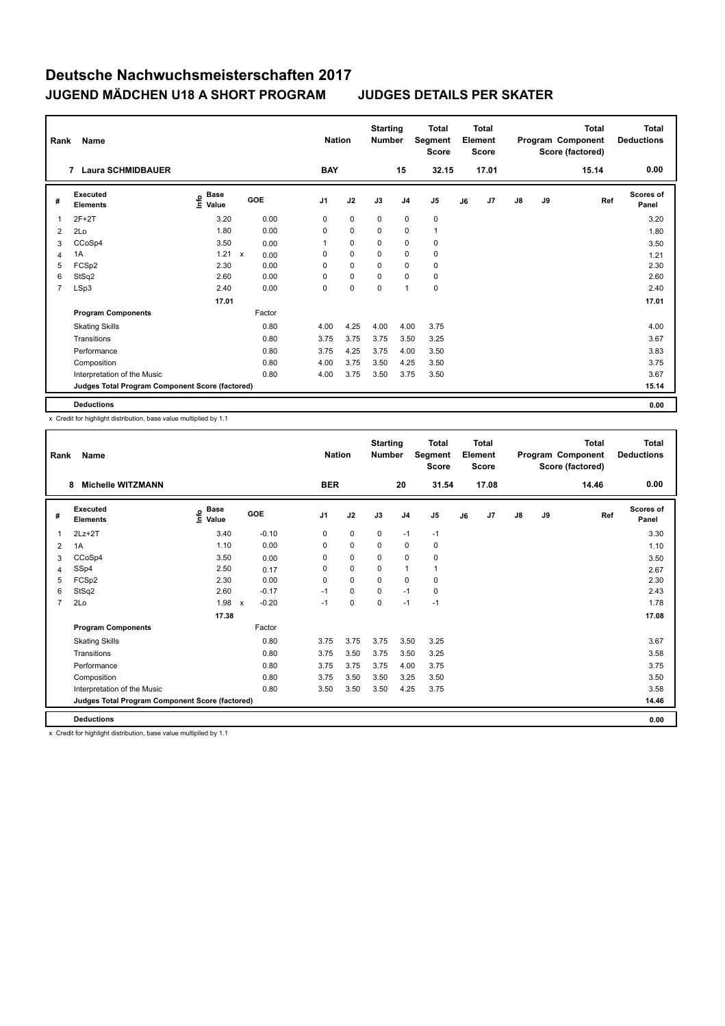|                | Name<br>Rank<br><b>Laura SCHMIDBAUER</b><br>$\overline{7}$ |                           |  |        |                | <b>Nation</b> | <b>Starting</b><br><b>Number</b> |                | <b>Total</b><br>Segment<br><b>Score</b> |    | Total<br>Element<br><b>Score</b> |               |    | <b>Total</b><br>Program Component<br>Score (factored) | Total<br><b>Deductions</b> |
|----------------|------------------------------------------------------------|---------------------------|--|--------|----------------|---------------|----------------------------------|----------------|-----------------------------------------|----|----------------------------------|---------------|----|-------------------------------------------------------|----------------------------|
|                |                                                            |                           |  |        | <b>BAY</b>     |               |                                  | 15             | 32.15                                   |    | 17.01                            |               |    | 15.14                                                 | 0.00                       |
| #              | Executed<br><b>Elements</b>                                | Base<br>e Base<br>⊆ Value |  | GOE    | J <sub>1</sub> | J2            | J3                               | J4             | J <sub>5</sub>                          | J6 | J <sub>7</sub>                   | $\mathsf{J}8$ | J9 | Ref                                                   | <b>Scores of</b><br>Panel  |
| 1              | $2F+2T$                                                    | 3.20                      |  | 0.00   | 0              | $\mathbf 0$   | $\mathbf 0$                      | $\mathbf 0$    | 0                                       |    |                                  |               |    |                                                       | 3.20                       |
| 2              | 2Lo                                                        | 1.80                      |  | 0.00   | $\Omega$       | $\mathbf 0$   | $\Omega$                         | $\mathbf 0$    | $\mathbf{1}$                            |    |                                  |               |    |                                                       | 1.80                       |
| 3              | CCoSp4                                                     | 3.50                      |  | 0.00   |                | $\mathbf 0$   | 0                                | 0              | 0                                       |    |                                  |               |    |                                                       | 3.50                       |
| 4              | 1A                                                         | 1.21 x                    |  | 0.00   | 0              | $\mathbf 0$   | $\Omega$                         | $\mathbf 0$    | 0                                       |    |                                  |               |    |                                                       | 1.21                       |
| 5              | FCSp2                                                      | 2.30                      |  | 0.00   | $\Omega$       | $\mathbf 0$   | $\Omega$                         | $\mathbf 0$    | 0                                       |    |                                  |               |    |                                                       | 2.30                       |
| 6              | StSq2                                                      | 2.60                      |  | 0.00   | 0              | $\mathbf 0$   | 0                                | $\mathbf 0$    | $\mathbf 0$                             |    |                                  |               |    |                                                       | 2.60                       |
| $\overline{7}$ | LSp3                                                       | 2.40                      |  | 0.00   | 0              | 0             | 0                                | $\overline{1}$ | 0                                       |    |                                  |               |    |                                                       | 2.40                       |
|                |                                                            | 17.01                     |  |        |                |               |                                  |                |                                         |    |                                  |               |    |                                                       | 17.01                      |
|                | <b>Program Components</b>                                  |                           |  | Factor |                |               |                                  |                |                                         |    |                                  |               |    |                                                       |                            |
|                | <b>Skating Skills</b>                                      |                           |  | 0.80   | 4.00           | 4.25          | 4.00                             | 4.00           | 3.75                                    |    |                                  |               |    |                                                       | 4.00                       |
|                | Transitions                                                |                           |  | 0.80   | 3.75           | 3.75          | 3.75                             | 3.50           | 3.25                                    |    |                                  |               |    |                                                       | 3.67                       |
|                | Performance                                                |                           |  | 0.80   | 3.75           | 4.25          | 3.75                             | 4.00           | 3.50                                    |    |                                  |               |    |                                                       | 3.83                       |
|                | Composition                                                |                           |  | 0.80   | 4.00           | 3.75          | 3.50                             | 4.25           | 3.50                                    |    |                                  |               |    |                                                       | 3.75                       |
|                | Interpretation of the Music                                |                           |  | 0.80   | 4.00           | 3.75          | 3.50                             | 3.75           | 3.50                                    |    |                                  |               |    |                                                       | 3.67                       |
|                | Judges Total Program Component Score (factored)            |                           |  |        |                |               |                                  |                |                                         |    |                                  |               |    |                                                       | 15.14                      |
|                | <b>Deductions</b>                                          |                           |  |        |                |               |                                  |                |                                         |    |                                  |               |    |                                                       | 0.00                       |

x Credit for highlight distribution, base value multiplied by 1.1

| Rank           | <b>Name</b>                                     | <b>Nation</b>                |                         | <b>Starting</b><br><b>Number</b> |             | <b>Total</b><br>Segment<br><b>Score</b> |                | <b>Total</b><br>Element<br><b>Score</b> |    |       | <b>Total</b><br>Program Component<br>Score (factored) | Total<br><b>Deductions</b> |       |                           |
|----------------|-------------------------------------------------|------------------------------|-------------------------|----------------------------------|-------------|-----------------------------------------|----------------|-----------------------------------------|----|-------|-------------------------------------------------------|----------------------------|-------|---------------------------|
|                | <b>Michelle WITZMANN</b><br>8                   |                              |                         | <b>BER</b>                       |             |                                         | 20             | 31.54                                   |    | 17.08 |                                                       |                            | 14.46 | 0.00                      |
| #              | Executed<br><b>Elements</b>                     | <b>Base</b><br>١πfo<br>Value | GOE                     | J <sub>1</sub>                   | J2          | J3                                      | J <sub>4</sub> | J5                                      | J6 | J7    | J8                                                    | J9                         | Ref   | <b>Scores of</b><br>Panel |
| 1              | $2Lz+2T$                                        | 3.40                         | $-0.10$                 | 0                                | $\mathbf 0$ | 0                                       | $-1$           | $-1$                                    |    |       |                                                       |                            |       | 3.30                      |
| 2              | 1A                                              | 1.10                         | 0.00                    | 0                                | $\mathbf 0$ | 0                                       | $\mathbf 0$    | $\pmb{0}$                               |    |       |                                                       |                            |       | 1.10                      |
| 3              | CCoSp4                                          | 3.50                         | 0.00                    | 0                                | $\mathbf 0$ | 0                                       | $\mathbf 0$    | $\mathbf 0$                             |    |       |                                                       |                            |       | 3.50                      |
| $\overline{4}$ | SSp4                                            | 2.50                         | 0.17                    | 0                                | $\mathbf 0$ | 0                                       | $\mathbf{1}$   | $\mathbf{1}$                            |    |       |                                                       |                            |       | 2.67                      |
| 5              | FCSp2                                           | 2.30                         | 0.00                    | 0                                | $\mathbf 0$ | 0                                       | 0              | 0                                       |    |       |                                                       |                            |       | 2.30                      |
| 6              | StSq2                                           | 2.60                         | $-0.17$                 | $-1$                             | $\mathbf 0$ | 0                                       | $-1$           | $\pmb{0}$                               |    |       |                                                       |                            |       | 2.43                      |
| $\overline{7}$ | 2Lo                                             | 1.98                         | $-0.20$<br>$\mathsf{x}$ | $-1$                             | $\mathbf 0$ | 0                                       | $-1$           | $-1$                                    |    |       |                                                       |                            |       | 1.78                      |
|                |                                                 | 17.38                        |                         |                                  |             |                                         |                |                                         |    |       |                                                       |                            |       | 17.08                     |
|                | <b>Program Components</b>                       |                              | Factor                  |                                  |             |                                         |                |                                         |    |       |                                                       |                            |       |                           |
|                | <b>Skating Skills</b>                           |                              | 0.80                    | 3.75                             | 3.75        | 3.75                                    | 3.50           | 3.25                                    |    |       |                                                       |                            |       | 3.67                      |
|                | Transitions                                     |                              | 0.80                    | 3.75                             | 3.50        | 3.75                                    | 3.50           | 3.25                                    |    |       |                                                       |                            |       | 3.58                      |
|                | Performance                                     |                              | 0.80                    | 3.75                             | 3.75        | 3.75                                    | 4.00           | 3.75                                    |    |       |                                                       |                            |       | 3.75                      |
|                | Composition                                     |                              | 0.80                    | 3.75                             | 3.50        | 3.50                                    | 3.25           | 3.50                                    |    |       |                                                       |                            |       | 3.50                      |
|                | Interpretation of the Music                     |                              | 0.80                    | 3.50                             | 3.50        | 3.50                                    | 4.25           | 3.75                                    |    |       |                                                       |                            |       | 3.58                      |
|                | Judges Total Program Component Score (factored) |                              |                         |                                  |             |                                         |                |                                         |    |       |                                                       |                            |       | 14.46                     |
|                | <b>Deductions</b>                               |                              |                         |                                  |             |                                         |                |                                         |    |       |                                                       |                            |       | 0.00                      |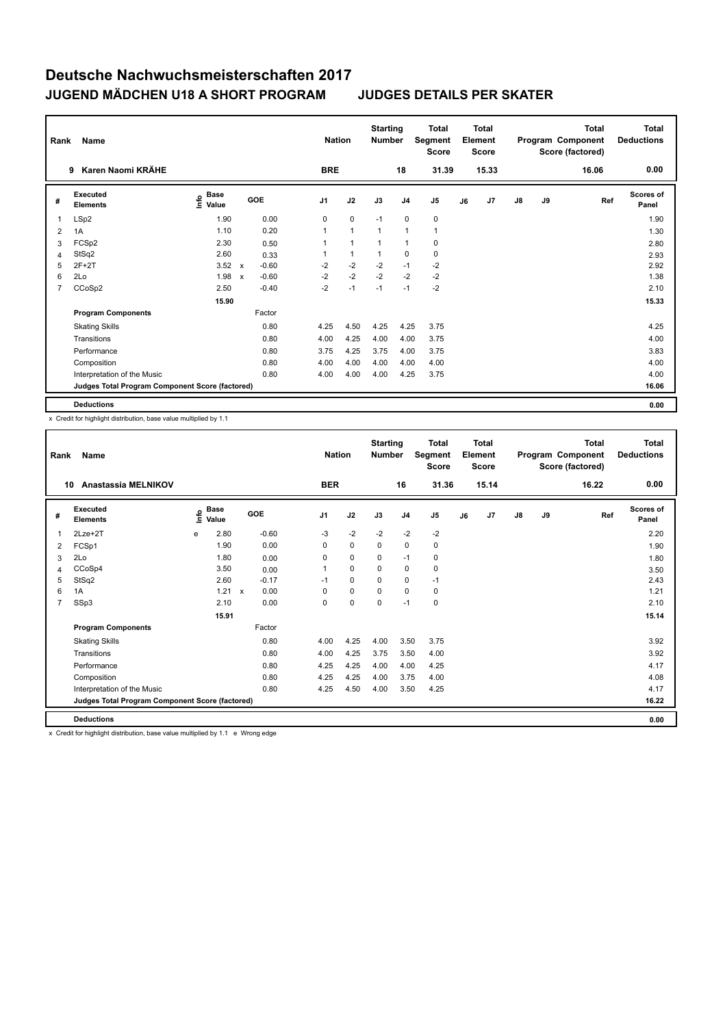|                | Name<br>Rank                                    |                                             |                           |            |                | <b>Nation</b> | <b>Starting</b><br><b>Number</b> |                | <b>Total</b><br>Segment<br><b>Score</b> |    | <b>Total</b><br>Element<br><b>Score</b> |               |    | <b>Total</b><br>Program Component<br>Score (factored) | <b>Total</b><br><b>Deductions</b> |
|----------------|-------------------------------------------------|---------------------------------------------|---------------------------|------------|----------------|---------------|----------------------------------|----------------|-----------------------------------------|----|-----------------------------------------|---------------|----|-------------------------------------------------------|-----------------------------------|
|                | Karen Naomi KRÄHE<br>9                          |                                             |                           |            | <b>BRE</b>     |               |                                  | 18             | 31.39                                   |    | 15.33                                   |               |    | 16.06                                                 | 0.00                              |
| #              | Executed<br><b>Elements</b>                     | <b>Base</b><br>e <sup>Base</sup><br>⊆ Value |                           | <b>GOE</b> | J <sub>1</sub> | J2            | J3                               | J <sub>4</sub> | J <sub>5</sub>                          | J6 | J <sub>7</sub>                          | $\mathsf{J}8$ | J9 | Ref                                                   | <b>Scores of</b><br>Panel         |
| 1              | LSp2                                            | 1.90                                        |                           | 0.00       | 0              | $\mathbf 0$   | $-1$                             | $\mathbf 0$    | $\mathbf 0$                             |    |                                         |               |    |                                                       | 1.90                              |
| 2              | 1A                                              | 1.10                                        |                           | 0.20       | 1              | $\mathbf{1}$  | $\overline{1}$                   | $\overline{1}$ | $\mathbf{1}$                            |    |                                         |               |    |                                                       | 1.30                              |
| 3              | FCSp2                                           | 2.30                                        |                           | 0.50       | 1              | $\mathbf{1}$  | $\overline{1}$                   | $\overline{1}$ | 0                                       |    |                                         |               |    |                                                       | 2.80                              |
| 4              | StSq2                                           | 2.60                                        |                           | 0.33       |                | $\mathbf{1}$  | 1                                | $\mathbf 0$    | 0                                       |    |                                         |               |    |                                                       | 2.93                              |
| 5              | $2F+2T$                                         | 3.52                                        | $\mathsf{x}$              | $-0.60$    | $-2$           | $-2$          | $-2$                             | $-1$           | $-2$                                    |    |                                         |               |    |                                                       | 2.92                              |
| 6              | 2Lo                                             | 1.98                                        | $\boldsymbol{\mathsf{x}}$ | $-0.60$    | $-2$           | $-2$          | $-2$                             | $-2$           | $-2$                                    |    |                                         |               |    |                                                       | 1.38                              |
| $\overline{7}$ | CCoSp2                                          | 2.50                                        |                           | $-0.40$    | $-2$           | $-1$          | $-1$                             | $-1$           | $-2$                                    |    |                                         |               |    |                                                       | 2.10                              |
|                |                                                 | 15.90                                       |                           |            |                |               |                                  |                |                                         |    |                                         |               |    |                                                       | 15.33                             |
|                | <b>Program Components</b>                       |                                             |                           | Factor     |                |               |                                  |                |                                         |    |                                         |               |    |                                                       |                                   |
|                | <b>Skating Skills</b>                           |                                             |                           | 0.80       | 4.25           | 4.50          | 4.25                             | 4.25           | 3.75                                    |    |                                         |               |    |                                                       | 4.25                              |
|                | Transitions                                     |                                             |                           | 0.80       | 4.00           | 4.25          | 4.00                             | 4.00           | 3.75                                    |    |                                         |               |    |                                                       | 4.00                              |
|                | Performance                                     |                                             |                           | 0.80       | 3.75           | 4.25          | 3.75                             | 4.00           | 3.75                                    |    |                                         |               |    |                                                       | 3.83                              |
|                | Composition                                     |                                             |                           | 0.80       | 4.00           | 4.00          | 4.00                             | 4.00           | 4.00                                    |    |                                         |               |    |                                                       | 4.00                              |
|                | Interpretation of the Music                     |                                             |                           | 0.80       | 4.00           | 4.00          | 4.00                             | 4.25           | 3.75                                    |    |                                         |               |    |                                                       | 4.00                              |
|                | Judges Total Program Component Score (factored) |                                             |                           |            |                |               |                                  |                |                                         |    |                                         |               |    |                                                       | 16.06                             |
|                | <b>Deductions</b>                               |                                             |                           |            |                |               |                                  |                |                                         |    |                                         |               |    |                                                       | 0.00                              |

x Credit for highlight distribution, base value multiplied by 1.1

| Rank           | Name                                            |    | <b>Nation</b>        | <b>Starting</b><br><b>Number</b> |         | <b>Total</b><br>Segment<br><b>Score</b> |             | <b>Total</b><br>Element<br><b>Score</b> |                |                | <b>Total</b><br>Program Component<br>Score (factored) | <b>Total</b><br><b>Deductions</b> |               |    |       |                           |
|----------------|-------------------------------------------------|----|----------------------|----------------------------------|---------|-----------------------------------------|-------------|-----------------------------------------|----------------|----------------|-------------------------------------------------------|-----------------------------------|---------------|----|-------|---------------------------|
| 10             | Anastassia MELNIKOV                             |    |                      |                                  |         | <b>BER</b>                              |             |                                         | 16             | 31.36          |                                                       | 15.14                             |               |    | 16.22 | 0.00                      |
| #              | Executed<br><b>Elements</b>                     | ۴ô | <b>Base</b><br>Value |                                  | GOE     | J <sub>1</sub>                          | J2          | J3                                      | J <sub>4</sub> | J <sub>5</sub> | J6                                                    | J7                                | $\mathsf{J}8$ | J9 | Ref   | <b>Scores of</b><br>Panel |
| 1              | $2$ Lze $+2$ T                                  | e  | 2.80                 |                                  | $-0.60$ | $-3$                                    | $-2$        | $-2$                                    | $-2$           | $-2$           |                                                       |                                   |               |    |       | 2.20                      |
| 2              | FCSp1                                           |    | 1.90                 |                                  | 0.00    | 0                                       | $\mathbf 0$ | 0                                       | $\mathbf 0$    | 0              |                                                       |                                   |               |    |       | 1.90                      |
| 3              | 2Lo                                             |    | 1.80                 |                                  | 0.00    | 0                                       | $\mathbf 0$ | $\mathbf 0$                             | $-1$           | $\mathbf 0$    |                                                       |                                   |               |    |       | 1.80                      |
| 4              | CCoSp4                                          |    | 3.50                 |                                  | 0.00    |                                         | $\Omega$    | $\Omega$                                | $\mathbf 0$    | 0              |                                                       |                                   |               |    |       | 3.50                      |
| 5              | StSq2                                           |    | 2.60                 |                                  | $-0.17$ | $-1$                                    | $\mathbf 0$ | 0                                       | $\mathbf 0$    | $-1$           |                                                       |                                   |               |    |       | 2.43                      |
| 6              | 1A                                              |    | 1.21                 | $\mathsf{x}$                     | 0.00    | 0                                       | $\mathbf 0$ | $\Omega$                                | 0              | $\mathbf 0$    |                                                       |                                   |               |    |       | 1.21                      |
| $\overline{7}$ | SSp3                                            |    | 2.10                 |                                  | 0.00    | $\Omega$                                | $\mathbf 0$ | $\Omega$                                | $-1$           | $\mathbf 0$    |                                                       |                                   |               |    |       | 2.10                      |
|                |                                                 |    | 15.91                |                                  |         |                                         |             |                                         |                |                |                                                       |                                   |               |    |       | 15.14                     |
|                | <b>Program Components</b>                       |    |                      |                                  | Factor  |                                         |             |                                         |                |                |                                                       |                                   |               |    |       |                           |
|                | <b>Skating Skills</b>                           |    |                      |                                  | 0.80    | 4.00                                    | 4.25        | 4.00                                    | 3.50           | 3.75           |                                                       |                                   |               |    |       | 3.92                      |
|                | Transitions                                     |    |                      |                                  | 0.80    | 4.00                                    | 4.25        | 3.75                                    | 3.50           | 4.00           |                                                       |                                   |               |    |       | 3.92                      |
|                | Performance                                     |    |                      |                                  | 0.80    | 4.25                                    | 4.25        | 4.00                                    | 4.00           | 4.25           |                                                       |                                   |               |    |       | 4.17                      |
|                | Composition                                     |    |                      |                                  | 0.80    | 4.25                                    | 4.25        | 4.00                                    | 3.75           | 4.00           |                                                       |                                   |               |    |       | 4.08                      |
|                | Interpretation of the Music                     |    |                      |                                  | 0.80    | 4.25                                    | 4.50        | 4.00                                    | 3.50           | 4.25           |                                                       |                                   |               |    |       | 4.17                      |
|                | Judges Total Program Component Score (factored) |    |                      |                                  |         |                                         |             |                                         |                |                |                                                       |                                   |               |    |       | 16.22                     |
|                | <b>Deductions</b>                               |    |                      |                                  |         |                                         |             |                                         |                |                |                                                       |                                   |               |    |       | 0.00                      |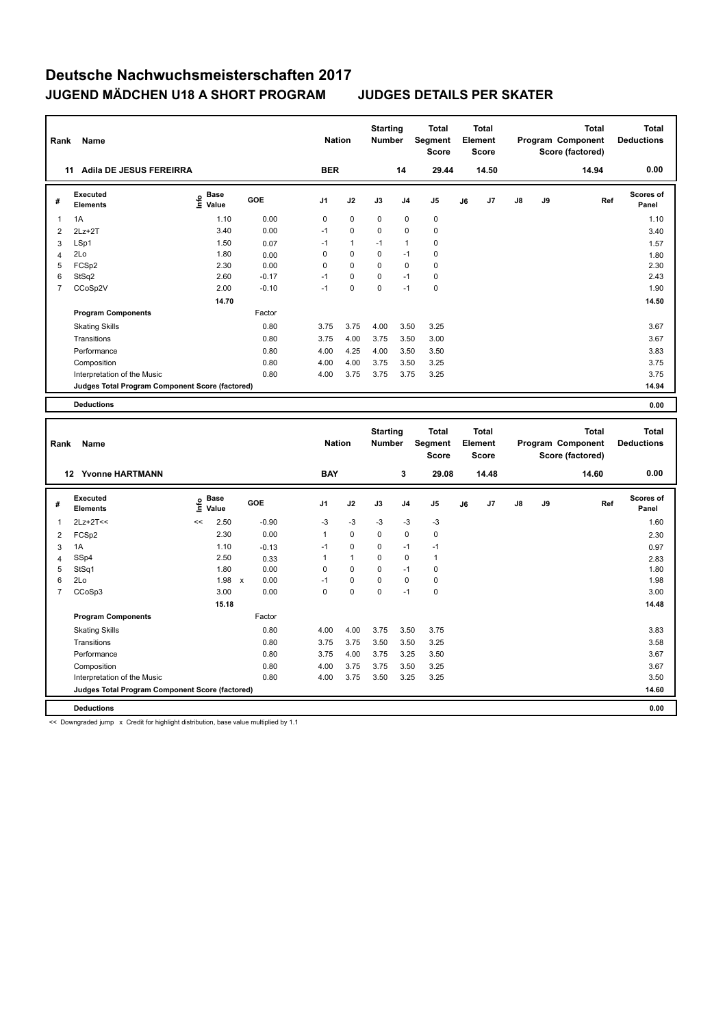| Rank           | Name                                            |                                             |         | <b>Nation</b>  |              | <b>Starting</b><br><b>Number</b> |                | <b>Total</b><br>Segment<br><b>Score</b> |    | <b>Total</b><br>Element<br><b>Score</b> |               |    | <b>Total</b><br>Program Component<br>Score (factored) | <b>Total</b><br><b>Deductions</b> |
|----------------|-------------------------------------------------|---------------------------------------------|---------|----------------|--------------|----------------------------------|----------------|-----------------------------------------|----|-----------------------------------------|---------------|----|-------------------------------------------------------|-----------------------------------|
|                | Adila DE JESUS FEREIRRA<br>11                   |                                             |         | <b>BER</b>     |              |                                  | 14             | 29.44                                   |    | 14.50                                   |               |    | 14.94                                                 | 0.00                              |
| #              | Executed<br><b>Elements</b>                     | <b>Base</b><br>е <sup>Base</sup><br>⊆ Value | GOE     | J <sub>1</sub> | J2           | J3                               | J4             | J <sub>5</sub>                          | J6 | J7                                      | $\mathsf{J}8$ | J9 | Ref                                                   | <b>Scores of</b><br>Panel         |
| $\overline{1}$ | 1A                                              | 1.10                                        | 0.00    | 0              | $\mathbf 0$  | $\mathbf 0$                      | $\mathbf 0$    | 0                                       |    |                                         |               |    |                                                       | 1.10                              |
| 2              | $2Lz+2T$                                        | 3.40                                        | 0.00    | $-1$           | 0            | 0                                | $\mathbf 0$    | $\pmb{0}$                               |    |                                         |               |    |                                                       | 3.40                              |
| 3              | LSp1                                            | 1.50                                        | 0.07    | $-1$           | $\mathbf{1}$ | $-1$                             | $\overline{1}$ | 0                                       |    |                                         |               |    |                                                       | 1.57                              |
| 4              | 2Lo                                             | 1.80                                        | 0.00    | 0              | $\mathbf 0$  | $\mathbf 0$                      | $-1$           | 0                                       |    |                                         |               |    |                                                       | 1.80                              |
| 5              | FCSp2                                           | 2.30                                        | 0.00    | 0              | 0            | $\Omega$                         | $\mathbf 0$    | 0                                       |    |                                         |               |    |                                                       | 2.30                              |
| 6              | StSq2                                           | 2.60                                        | $-0.17$ | $-1$           | 0            | $\Omega$                         | $-1$           | 0                                       |    |                                         |               |    |                                                       | 2.43                              |
| $\overline{7}$ | CCoSp2V                                         | 2.00                                        | $-0.10$ | $-1$           | $\mathbf 0$  | 0                                | $-1$           | 0                                       |    |                                         |               |    |                                                       | 1.90                              |
|                |                                                 | 14.70                                       |         |                |              |                                  |                |                                         |    |                                         |               |    |                                                       | 14.50                             |
|                | <b>Program Components</b>                       |                                             | Factor  |                |              |                                  |                |                                         |    |                                         |               |    |                                                       |                                   |
|                | <b>Skating Skills</b>                           |                                             | 0.80    | 3.75           | 3.75         | 4.00                             | 3.50           | 3.25                                    |    |                                         |               |    |                                                       | 3.67                              |
|                | Transitions                                     |                                             | 0.80    | 3.75           | 4.00         | 3.75                             | 3.50           | 3.00                                    |    |                                         |               |    |                                                       | 3.67                              |
|                | Performance                                     |                                             | 0.80    | 4.00           | 4.25         | 4.00                             | 3.50           | 3.50                                    |    |                                         |               |    |                                                       | 3.83                              |
|                | Composition                                     |                                             | 0.80    | 4.00           | 4.00         | 3.75                             | 3.50           | 3.25                                    |    |                                         |               |    |                                                       | 3.75                              |
|                | Interpretation of the Music                     |                                             | 0.80    | 4.00           | 3.75         | 3.75                             | 3.75           | 3.25                                    |    |                                         |               |    |                                                       | 3.75                              |
|                | Judges Total Program Component Score (factored) |                                             |         |                |              |                                  |                |                                         |    |                                         |               |    |                                                       | 14.94                             |
|                | <b>Deductions</b>                               |                                             |         |                |              |                                  |                |                                         |    |                                         |               |    |                                                       | 0.00                              |

| Rank           | Name                                            |      | <b>Nation</b>        | <b>Starting</b><br><b>Number</b> |         | <b>Total</b><br>Segment<br><b>Score</b> |              | Total<br>Element<br><b>Score</b> |                |                | Total<br>Program Component<br>Score (factored) | Total<br><b>Deductions</b> |               |    |       |                           |
|----------------|-------------------------------------------------|------|----------------------|----------------------------------|---------|-----------------------------------------|--------------|----------------------------------|----------------|----------------|------------------------------------------------|----------------------------|---------------|----|-------|---------------------------|
| 12             | <b>Yvonne HARTMANN</b>                          |      |                      |                                  |         | <b>BAY</b>                              |              |                                  | 3              | 29.08          |                                                | 14.48                      |               |    | 14.60 | 0.00                      |
| #              | Executed<br><b>Elements</b>                     | ١nf٥ | <b>Base</b><br>Value | GOE                              |         | J <sub>1</sub>                          | J2           | J3                               | J <sub>4</sub> | J <sub>5</sub> | J6                                             | J7                         | $\mathsf{J}8$ | J9 | Ref   | <b>Scores of</b><br>Panel |
| 1              | $2Lz+2T<<$                                      | <<   | 2.50                 |                                  | $-0.90$ | $-3$                                    | $-3$         | $-3$                             | $-3$           | $-3$           |                                                |                            |               |    |       | 1.60                      |
| 2              | FCSp2                                           |      | 2.30                 |                                  | 0.00    | 1                                       | $\mathbf 0$  | $\Omega$                         | $\mathbf 0$    | $\mathbf 0$    |                                                |                            |               |    |       | 2.30                      |
| 3              | 1A                                              |      | 1.10                 |                                  | $-0.13$ | $-1$                                    | $\mathbf 0$  | $\Omega$                         | $-1$           | $-1$           |                                                |                            |               |    |       | 0.97                      |
| $\overline{4}$ | SSp4                                            |      | 2.50                 |                                  | 0.33    |                                         | $\mathbf{1}$ | $\Omega$                         | $\Omega$       | $\mathbf{1}$   |                                                |                            |               |    |       | 2.83                      |
| 5              | StSq1                                           |      | 1.80                 |                                  | 0.00    | 0                                       | $\mathbf 0$  | $\mathbf 0$                      | $-1$           | $\pmb{0}$      |                                                |                            |               |    |       | 1.80                      |
| 6              | 2Lo                                             |      | 1.98                 | $\mathsf{x}$                     | 0.00    | $-1$                                    | 0            | 0                                | $\mathbf 0$    | 0              |                                                |                            |               |    |       | 1.98                      |
| $\overline{7}$ | CCoSp3                                          |      | 3.00                 |                                  | 0.00    | 0                                       | $\mathbf 0$  | $\mathbf 0$                      | $-1$           | $\pmb{0}$      |                                                |                            |               |    |       | 3.00                      |
|                |                                                 |      | 15.18                |                                  |         |                                         |              |                                  |                |                |                                                |                            |               |    |       | 14.48                     |
|                | <b>Program Components</b>                       |      |                      |                                  | Factor  |                                         |              |                                  |                |                |                                                |                            |               |    |       |                           |
|                | <b>Skating Skills</b>                           |      |                      |                                  | 0.80    | 4.00                                    | 4.00         | 3.75                             | 3.50           | 3.75           |                                                |                            |               |    |       | 3.83                      |
|                | Transitions                                     |      |                      |                                  | 0.80    | 3.75                                    | 3.75         | 3.50                             | 3.50           | 3.25           |                                                |                            |               |    |       | 3.58                      |
|                | Performance                                     |      |                      |                                  | 0.80    | 3.75                                    | 4.00         | 3.75                             | 3.25           | 3.50           |                                                |                            |               |    |       | 3.67                      |
|                | Composition                                     |      |                      |                                  | 0.80    | 4.00                                    | 3.75         | 3.75                             | 3.50           | 3.25           |                                                |                            |               |    |       | 3.67                      |
|                | Interpretation of the Music                     |      |                      |                                  | 0.80    | 4.00                                    | 3.75         | 3.50                             | 3.25           | 3.25           |                                                |                            |               |    |       | 3.50                      |
|                | Judges Total Program Component Score (factored) |      |                      |                                  |         |                                         |              |                                  |                |                |                                                |                            |               |    |       | 14.60                     |
|                | <b>Deductions</b>                               |      |                      |                                  |         |                                         |              |                                  |                |                |                                                |                            |               |    |       | 0.00                      |

<< Downgraded jump x Credit for highlight distribution, base value multiplied by 1.1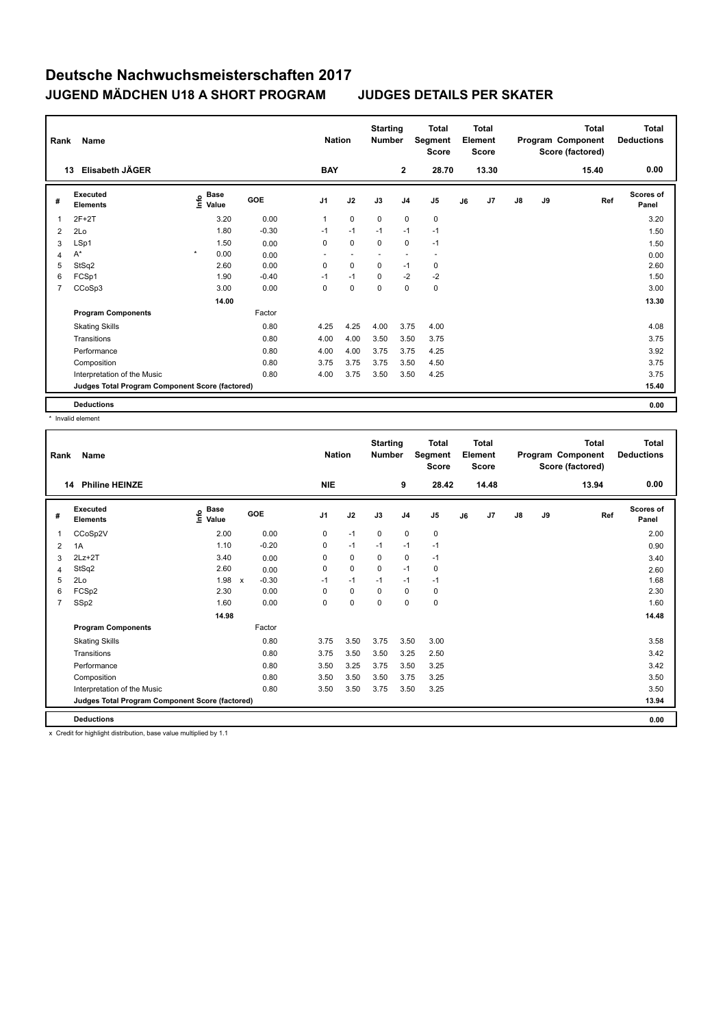| Rank           | Name                                            |         | <b>Nation</b>                               |            |                | <b>Starting</b><br><b>Number</b> | <b>Total</b><br>Segment<br><b>Score</b> | <b>Total</b><br>Element<br><b>Score</b> |                          |    |       | <b>Total</b><br>Program Component<br>Score (factored) | <b>Total</b><br><b>Deductions</b> |       |                           |
|----------------|-------------------------------------------------|---------|---------------------------------------------|------------|----------------|----------------------------------|-----------------------------------------|-----------------------------------------|--------------------------|----|-------|-------------------------------------------------------|-----------------------------------|-------|---------------------------|
|                | Elisabeth JÄGER<br>13                           |         |                                             |            | <b>BAY</b>     |                                  |                                         | $\mathbf 2$                             | 28.70                    |    | 13.30 |                                                       |                                   | 15.40 | 0.00                      |
| #              | Executed<br><b>Elements</b>                     |         | <b>Base</b><br>e <sup>Base</sup><br>⊆ Value | <b>GOE</b> | J <sub>1</sub> | J2                               | J3                                      | J <sub>4</sub>                          | J <sub>5</sub>           | J6 | J7    | $\mathsf{J}8$                                         | J9                                | Ref   | <b>Scores of</b><br>Panel |
| 1              | $2F+2T$                                         |         | 3.20                                        | 0.00       | $\mathbf{1}$   | $\mathbf 0$                      | $\mathbf 0$                             | $\mathbf 0$                             | 0                        |    |       |                                                       |                                   |       | 3.20                      |
| 2              | 2Lo                                             |         | 1.80                                        | $-0.30$    | $-1$           | $-1$                             | $-1$                                    | $-1$                                    | $-1$                     |    |       |                                                       |                                   |       | 1.50                      |
| 3              | LSp1                                            |         | 1.50                                        | 0.00       | 0              | $\mathbf 0$                      | $\mathbf 0$                             | $\mathbf 0$                             | $-1$                     |    |       |                                                       |                                   |       | 1.50                      |
| 4              | $A^*$                                           | $\star$ | 0.00                                        | 0.00       | ٠              | ٠                                | ٠                                       | $\overline{\phantom{a}}$                | $\overline{\phantom{a}}$ |    |       |                                                       |                                   |       | 0.00                      |
| 5              | StSq2                                           |         | 2.60                                        | 0.00       | 0              | 0                                | 0                                       | $-1$                                    | 0                        |    |       |                                                       |                                   |       | 2.60                      |
| 6              | FCSp1                                           |         | 1.90                                        | $-0.40$    | $-1$           | $-1$                             | $\Omega$                                | $-2$                                    | $-2$                     |    |       |                                                       |                                   |       | 1.50                      |
| $\overline{7}$ | CCoSp3                                          |         | 3.00                                        | 0.00       | 0              | $\pmb{0}$                        | $\mathbf 0$                             | $\mathbf 0$                             | $\pmb{0}$                |    |       |                                                       |                                   |       | 3.00                      |
|                |                                                 |         | 14.00                                       |            |                |                                  |                                         |                                         |                          |    |       |                                                       |                                   |       | 13.30                     |
|                | <b>Program Components</b>                       |         |                                             | Factor     |                |                                  |                                         |                                         |                          |    |       |                                                       |                                   |       |                           |
|                | <b>Skating Skills</b>                           |         |                                             | 0.80       | 4.25           | 4.25                             | 4.00                                    | 3.75                                    | 4.00                     |    |       |                                                       |                                   |       | 4.08                      |
|                | Transitions                                     |         |                                             | 0.80       | 4.00           | 4.00                             | 3.50                                    | 3.50                                    | 3.75                     |    |       |                                                       |                                   |       | 3.75                      |
|                | Performance                                     |         |                                             | 0.80       | 4.00           | 4.00                             | 3.75                                    | 3.75                                    | 4.25                     |    |       |                                                       |                                   |       | 3.92                      |
|                | Composition                                     |         |                                             | 0.80       | 3.75           | 3.75                             | 3.75                                    | 3.50                                    | 4.50                     |    |       |                                                       |                                   |       | 3.75                      |
|                | Interpretation of the Music                     |         |                                             | 0.80       | 4.00           | 3.75                             | 3.50                                    | 3.50                                    | 4.25                     |    |       |                                                       |                                   |       | 3.75                      |
|                | Judges Total Program Component Score (factored) |         |                                             |            |                |                                  |                                         |                                         |                          |    |       |                                                       |                                   |       | 15.40                     |
|                | <b>Deductions</b>                               |         |                                             |            |                |                                  |                                         |                                         |                          |    |       |                                                       |                                   |       | 0.00                      |

\* Invalid element

| Rank           | Name                                            |                                  |                                      |                | <b>Nation</b> | <b>Starting</b><br><b>Number</b> |                | <b>Total</b><br>Segment<br><b>Score</b> |    | <b>Total</b><br>Element<br><b>Score</b> |    |    | <b>Total</b><br>Program Component<br>Score (factored) | <b>Total</b><br><b>Deductions</b> |
|----------------|-------------------------------------------------|----------------------------------|--------------------------------------|----------------|---------------|----------------------------------|----------------|-----------------------------------------|----|-----------------------------------------|----|----|-------------------------------------------------------|-----------------------------------|
| 14             | <b>Philine HEINZE</b>                           |                                  |                                      | <b>NIE</b>     |               |                                  | 9              | 28.42                                   |    | 14.48                                   |    |    | 13.94                                                 | 0.00                              |
| #              | Executed<br><b>Elements</b>                     | <b>Base</b><br>e Base<br>E Value | <b>GOE</b>                           | J <sub>1</sub> | J2            | J3                               | J <sub>4</sub> | J <sub>5</sub>                          | J6 | J <sub>7</sub>                          | J8 | J9 | Ref                                                   | <b>Scores of</b><br>Panel         |
| 1              | CCoSp2V                                         | 2.00                             | 0.00                                 | 0              | $-1$          | $\mathbf 0$                      | $\mathbf 0$    | $\pmb{0}$                               |    |                                         |    |    |                                                       | 2.00                              |
| 2              | 1A                                              | 1.10                             | $-0.20$                              | $\mathbf 0$    | $-1$          | $-1$                             | $-1$           | $-1$                                    |    |                                         |    |    |                                                       | 0.90                              |
| 3              | $2Lz+2T$                                        | 3.40                             | 0.00                                 | 0              | $\mathbf 0$   | 0                                | $\mathbf 0$    | $-1$                                    |    |                                         |    |    |                                                       | 3.40                              |
| 4              | StSq2                                           | 2.60                             | 0.00                                 | 0              | $\Omega$      | $\mathbf 0$                      | $-1$           | 0                                       |    |                                         |    |    |                                                       | 2.60                              |
| 5              | 2Lo                                             | 1.98                             | $-0.30$<br>$\boldsymbol{\mathsf{x}}$ | $-1$           | $-1$          | $-1$                             | $-1$           | $-1$                                    |    |                                         |    |    |                                                       | 1.68                              |
| 6              | FCSp2                                           | 2.30                             | 0.00                                 | $\Omega$       | 0             | $\Omega$                         | $\Omega$       | 0                                       |    |                                         |    |    |                                                       | 2.30                              |
| $\overline{7}$ | SSp2                                            | 1.60                             | 0.00                                 | $\Omega$       | 0             | 0                                | $\Omega$       | $\mathbf 0$                             |    |                                         |    |    |                                                       | 1.60                              |
|                |                                                 | 14.98                            |                                      |                |               |                                  |                |                                         |    |                                         |    |    |                                                       | 14.48                             |
|                | <b>Program Components</b>                       |                                  | Factor                               |                |               |                                  |                |                                         |    |                                         |    |    |                                                       |                                   |
|                | <b>Skating Skills</b>                           |                                  | 0.80                                 | 3.75           | 3.50          | 3.75                             | 3.50           | 3.00                                    |    |                                         |    |    |                                                       | 3.58                              |
|                | Transitions                                     |                                  | 0.80                                 | 3.75           | 3.50          | 3.50                             | 3.25           | 2.50                                    |    |                                         |    |    |                                                       | 3.42                              |
|                | Performance                                     |                                  | 0.80                                 | 3.50           | 3.25          | 3.75                             | 3.50           | 3.25                                    |    |                                         |    |    |                                                       | 3.42                              |
|                | Composition                                     |                                  | 0.80                                 | 3.50           | 3.50          | 3.50                             | 3.75           | 3.25                                    |    |                                         |    |    |                                                       | 3.50                              |
|                | Interpretation of the Music                     |                                  | 0.80                                 | 3.50           | 3.50          | 3.75                             | 3.50           | 3.25                                    |    |                                         |    |    |                                                       | 3.50                              |
|                | Judges Total Program Component Score (factored) |                                  |                                      |                |               |                                  |                |                                         |    |                                         |    |    |                                                       | 13.94                             |
|                | <b>Deductions</b>                               |                                  |                                      |                |               |                                  |                |                                         |    |                                         |    |    |                                                       | 0.00                              |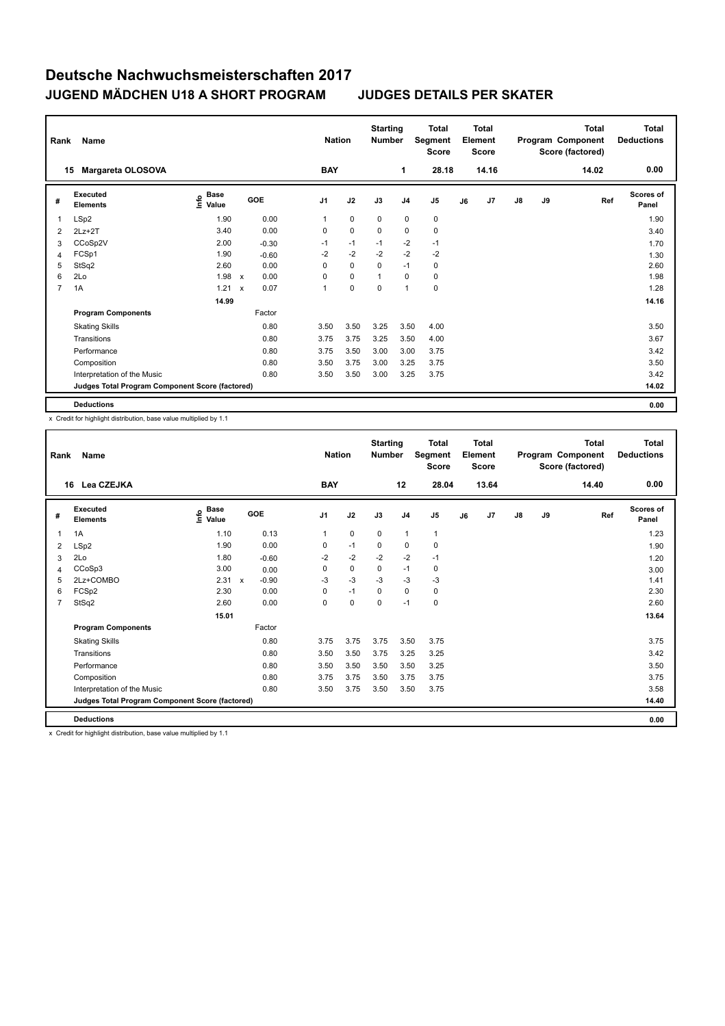| Rank           | Name                                            |                                             |                           |            |                | <b>Nation</b> | <b>Starting</b><br><b>Number</b> |                | <b>Total</b><br>Segment<br><b>Score</b> |    | <b>Total</b><br>Element<br><b>Score</b> |               |    | <b>Total</b><br>Program Component<br>Score (factored) | <b>Total</b><br><b>Deductions</b> |
|----------------|-------------------------------------------------|---------------------------------------------|---------------------------|------------|----------------|---------------|----------------------------------|----------------|-----------------------------------------|----|-----------------------------------------|---------------|----|-------------------------------------------------------|-----------------------------------|
|                | Margareta OLOSOVA<br>15                         |                                             |                           |            | <b>BAY</b>     |               |                                  | 1              | 28.18                                   |    | 14.16                                   |               |    | 14.02                                                 | 0.00                              |
| #              | <b>Executed</b><br><b>Elements</b>              | <b>Base</b><br>e <sup>Base</sup><br>⊆ Value |                           | <b>GOE</b> | J <sub>1</sub> | J2            | J3                               | J <sub>4</sub> | J <sub>5</sub>                          | J6 | J7                                      | $\mathsf{J}8$ | J9 | Ref                                                   | <b>Scores of</b><br>Panel         |
| 1              | LSp2                                            | 1.90                                        |                           | 0.00       | 1              | $\mathbf 0$   | $\mathbf 0$                      | $\mathbf 0$    | $\pmb{0}$                               |    |                                         |               |    |                                                       | 1.90                              |
| 2              | $2Lz+2T$                                        | 3.40                                        |                           | 0.00       | 0              | $\mathbf 0$   | $\Omega$                         | 0              | 0                                       |    |                                         |               |    |                                                       | 3.40                              |
| 3              | CCoSp2V                                         | 2.00                                        |                           | $-0.30$    | $-1$           | $-1$          | $-1$                             | $-2$           | $-1$                                    |    |                                         |               |    |                                                       | 1.70                              |
| 4              | FCSp1                                           | 1.90                                        |                           | $-0.60$    | $-2$           | $-2$          | $-2$                             | $-2$           | $-2$                                    |    |                                         |               |    |                                                       | 1.30                              |
| 5              | StSq2                                           | 2.60                                        |                           | 0.00       | 0              | $\mathbf 0$   | $\Omega$                         | $-1$           | $\pmb{0}$                               |    |                                         |               |    |                                                       | 2.60                              |
| 6              | 2Lo                                             | 1.98                                        | $\boldsymbol{\mathsf{x}}$ | 0.00       | 0              | $\mathbf 0$   | 1                                | $\Omega$       | 0                                       |    |                                         |               |    |                                                       | 1.98                              |
| $\overline{7}$ | 1A                                              | 1.21                                        | $\boldsymbol{\mathsf{x}}$ | 0.07       | 1              | 0             | $\mathbf 0$                      | $\overline{1}$ | $\pmb{0}$                               |    |                                         |               |    |                                                       | 1.28                              |
|                |                                                 | 14.99                                       |                           |            |                |               |                                  |                |                                         |    |                                         |               |    |                                                       | 14.16                             |
|                | <b>Program Components</b>                       |                                             |                           | Factor     |                |               |                                  |                |                                         |    |                                         |               |    |                                                       |                                   |
|                | <b>Skating Skills</b>                           |                                             |                           | 0.80       | 3.50           | 3.50          | 3.25                             | 3.50           | 4.00                                    |    |                                         |               |    |                                                       | 3.50                              |
|                | Transitions                                     |                                             |                           | 0.80       | 3.75           | 3.75          | 3.25                             | 3.50           | 4.00                                    |    |                                         |               |    |                                                       | 3.67                              |
|                | Performance                                     |                                             |                           | 0.80       | 3.75           | 3.50          | 3.00                             | 3.00           | 3.75                                    |    |                                         |               |    |                                                       | 3.42                              |
|                | Composition                                     |                                             |                           | 0.80       | 3.50           | 3.75          | 3.00                             | 3.25           | 3.75                                    |    |                                         |               |    |                                                       | 3.50                              |
|                | Interpretation of the Music                     |                                             |                           | 0.80       | 3.50           | 3.50          | 3.00                             | 3.25           | 3.75                                    |    |                                         |               |    |                                                       | 3.42                              |
|                | Judges Total Program Component Score (factored) |                                             |                           |            |                |               |                                  |                |                                         |    |                                         |               |    |                                                       | 14.02                             |
|                | <b>Deductions</b>                               |                                             |                           |            |                |               |                                  |                |                                         |    |                                         |               |    |                                                       | 0.00                              |

x Credit for highlight distribution, base value multiplied by 1.1

| Rank           | Name                                            |                     |                           |         |                | <b>Nation</b> |             | <b>Starting</b><br><b>Number</b> |                | <b>Total</b><br>Segment<br><b>Score</b> |    | <b>Total</b><br>Element<br><b>Score</b> |               |    | <b>Total</b><br>Program Component<br>Score (factored) | Total<br><b>Deductions</b> |
|----------------|-------------------------------------------------|---------------------|---------------------------|---------|----------------|---------------|-------------|----------------------------------|----------------|-----------------------------------------|----|-----------------------------------------|---------------|----|-------------------------------------------------------|----------------------------|
| 16             | Lea CZEJKA                                      |                     |                           |         |                | <b>BAY</b>    |             |                                  | 12             | 28.04                                   |    | 13.64                                   |               |    | 14.40                                                 | 0.00                       |
| #              | Executed<br><b>Elements</b>                     | Base<br>١m<br>Value | GOE                       |         | J <sub>1</sub> |               | J2          | J3                               | J <sub>4</sub> | J <sub>5</sub>                          | J6 | J7                                      | $\mathsf{J}8$ | J9 | Ref                                                   | <b>Scores of</b><br>Panel  |
| $\mathbf{1}$   | 1A                                              | 1.10                |                           | 0.13    | $\mathbf{1}$   |               | $\mathbf 0$ | $\mathbf 0$                      | $\overline{1}$ | $\mathbf{1}$                            |    |                                         |               |    |                                                       | 1.23                       |
| 2              | LSp2                                            | 1.90                |                           | 0.00    | 0              |               | $-1$        | $\mathbf 0$                      | $\mathbf 0$    | $\mathbf 0$                             |    |                                         |               |    |                                                       | 1.90                       |
| 3              | 2Lo                                             | 1.80                |                           | $-0.60$ | $-2$           |               | $-2$        | $-2$                             | $-2$           | $-1$                                    |    |                                         |               |    |                                                       | 1.20                       |
| $\overline{4}$ | CCoSp3                                          | 3.00                |                           | 0.00    | 0              |               | $\mathbf 0$ | $\mathbf 0$                      | $-1$           | 0                                       |    |                                         |               |    |                                                       | 3.00                       |
| 5              | 2Lz+COMBO                                       | 2.31                | $\boldsymbol{\mathsf{x}}$ | $-0.90$ | $-3$           |               | $-3$        | $-3$                             | $-3$           | $-3$                                    |    |                                         |               |    |                                                       | 1.41                       |
| 6              | FCSp2                                           | 2.30                |                           | 0.00    | 0              |               | $-1$        | $\Omega$                         | $\mathbf 0$    | $\mathbf 0$                             |    |                                         |               |    |                                                       | 2.30                       |
| $\overline{7}$ | StSq2                                           | 2.60                |                           | 0.00    | 0              |               | $\mathbf 0$ | $\mathbf 0$                      | $-1$           | $\mathbf 0$                             |    |                                         |               |    |                                                       | 2.60                       |
|                |                                                 | 15.01               |                           |         |                |               |             |                                  |                |                                         |    |                                         |               |    |                                                       | 13.64                      |
|                | <b>Program Components</b>                       |                     |                           | Factor  |                |               |             |                                  |                |                                         |    |                                         |               |    |                                                       |                            |
|                | <b>Skating Skills</b>                           |                     |                           | 0.80    | 3.75           |               | 3.75        | 3.75                             | 3.50           | 3.75                                    |    |                                         |               |    |                                                       | 3.75                       |
|                | Transitions                                     |                     |                           | 0.80    | 3.50           |               | 3.50        | 3.75                             | 3.25           | 3.25                                    |    |                                         |               |    |                                                       | 3.42                       |
|                | Performance                                     |                     |                           | 0.80    | 3.50           |               | 3.50        | 3.50                             | 3.50           | 3.25                                    |    |                                         |               |    |                                                       | 3.50                       |
|                | Composition                                     |                     |                           | 0.80    | 3.75           |               | 3.75        | 3.50                             | 3.75           | 3.75                                    |    |                                         |               |    |                                                       | 3.75                       |
|                | Interpretation of the Music                     |                     |                           | 0.80    | 3.50           |               | 3.75        | 3.50                             | 3.50           | 3.75                                    |    |                                         |               |    |                                                       | 3.58                       |
|                | Judges Total Program Component Score (factored) |                     |                           |         |                |               |             |                                  |                |                                         |    |                                         |               |    |                                                       | 14.40                      |
|                | <b>Deductions</b>                               |                     |                           |         |                |               |             |                                  |                |                                         |    |                                         |               |    |                                                       | 0.00                       |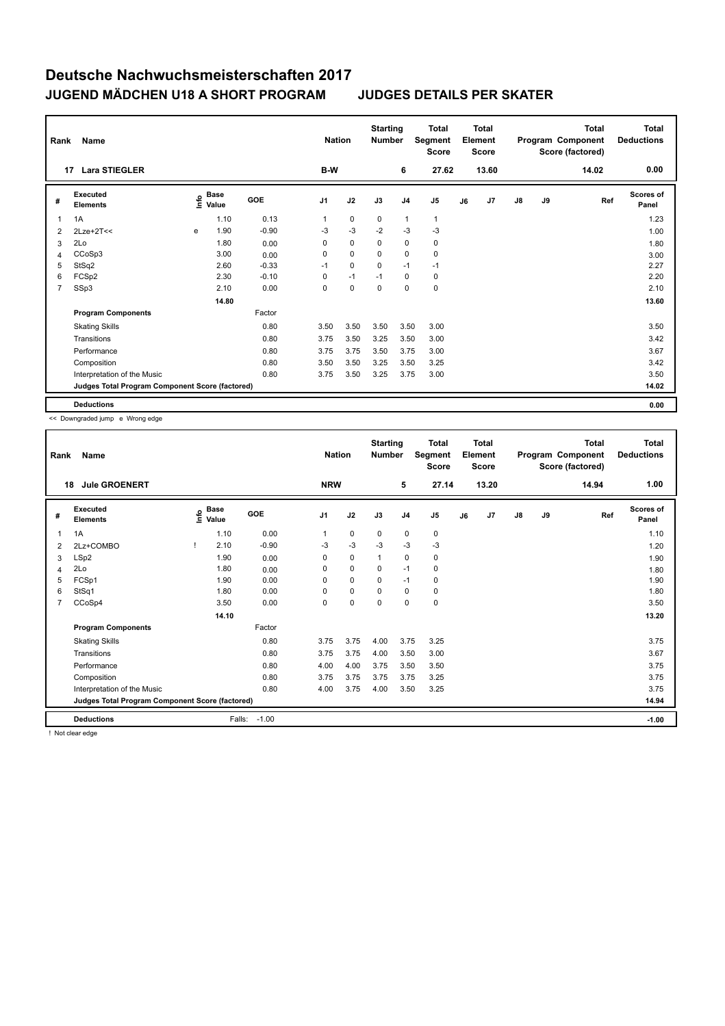| Rank           | Name                                            |   | <b>Nation</b>                               |            |                | <b>Starting</b><br><b>Number</b> | <b>Total</b><br>Segment<br><b>Score</b> | <b>Total</b><br>Element<br><b>Score</b> |                |    |       | Total<br>Program Component<br>Score (factored) | Total<br><b>Deductions</b> |       |                           |
|----------------|-------------------------------------------------|---|---------------------------------------------|------------|----------------|----------------------------------|-----------------------------------------|-----------------------------------------|----------------|----|-------|------------------------------------------------|----------------------------|-------|---------------------------|
|                | <b>Lara STIEGLER</b><br>17                      |   |                                             |            | B-W            |                                  |                                         | 6                                       | 27.62          |    | 13.60 |                                                |                            | 14.02 | 0.00                      |
| #              | Executed<br><b>Elements</b>                     |   | <b>Base</b><br>e <sup>Base</sup><br>⊆ Value | <b>GOE</b> | J <sub>1</sub> | J2                               | J3                                      | J <sub>4</sub>                          | J <sub>5</sub> | J6 | J7    | $\mathsf{J}8$                                  | J9                         | Ref   | <b>Scores of</b><br>Panel |
| 1              | 1A                                              |   | 1.10                                        | 0.13       | 1              | $\mathbf 0$                      | 0                                       | $\mathbf{1}$                            | $\mathbf{1}$   |    |       |                                                |                            |       | 1.23                      |
| 2              | $2$ Lze+ $2$ T<<                                | e | 1.90                                        | $-0.90$    | $-3$           | $-3$                             | $-2$                                    | $-3$                                    | $-3$           |    |       |                                                |                            |       | 1.00                      |
| 3              | 2Lo                                             |   | 1.80                                        | 0.00       | 0              | $\mathbf 0$                      | 0                                       | 0                                       | 0              |    |       |                                                |                            |       | 1.80                      |
| 4              | CCoSp3                                          |   | 3.00                                        | 0.00       | 0              | $\mathbf 0$                      | $\Omega$                                | $\mathbf 0$                             | 0              |    |       |                                                |                            |       | 3.00                      |
| 5              | StSq2                                           |   | 2.60                                        | $-0.33$    | $-1$           | $\mathbf 0$                      | $\Omega$                                | $-1$                                    | $-1$           |    |       |                                                |                            |       | 2.27                      |
| 6              | FCS <sub>p2</sub>                               |   | 2.30                                        | $-0.10$    | 0              | $-1$                             | $-1$                                    | $\Omega$                                | 0              |    |       |                                                |                            |       | 2.20                      |
| $\overline{7}$ | SSp3                                            |   | 2.10                                        | 0.00       | 0              | 0                                | $\mathbf 0$                             | $\mathbf 0$                             | $\pmb{0}$      |    |       |                                                |                            |       | 2.10                      |
|                |                                                 |   | 14.80                                       |            |                |                                  |                                         |                                         |                |    |       |                                                |                            |       | 13.60                     |
|                | <b>Program Components</b>                       |   |                                             | Factor     |                |                                  |                                         |                                         |                |    |       |                                                |                            |       |                           |
|                | <b>Skating Skills</b>                           |   |                                             | 0.80       | 3.50           | 3.50                             | 3.50                                    | 3.50                                    | 3.00           |    |       |                                                |                            |       | 3.50                      |
|                | Transitions                                     |   |                                             | 0.80       | 3.75           | 3.50                             | 3.25                                    | 3.50                                    | 3.00           |    |       |                                                |                            |       | 3.42                      |
|                | Performance                                     |   |                                             | 0.80       | 3.75           | 3.75                             | 3.50                                    | 3.75                                    | 3.00           |    |       |                                                |                            |       | 3.67                      |
|                | Composition                                     |   |                                             | 0.80       | 3.50           | 3.50                             | 3.25                                    | 3.50                                    | 3.25           |    |       |                                                |                            |       | 3.42                      |
|                | Interpretation of the Music                     |   |                                             | 0.80       | 3.75           | 3.50                             | 3.25                                    | 3.75                                    | 3.00           |    |       |                                                |                            |       | 3.50                      |
|                | Judges Total Program Component Score (factored) |   |                                             |            |                |                                  |                                         |                                         |                |    |       |                                                |                            |       | 14.02                     |
|                | <b>Deductions</b>                               |   |                                             |            |                |                                  |                                         |                                         |                |    |       |                                                |                            |       | 0.00                      |

<< Downgraded jump e Wrong edge

| Rank           | Name                                            |                            | <b>Nation</b> |                |             | <b>Total</b><br>Segment<br><b>Score</b> | <b>Total</b><br>Element<br><b>Score</b> |                | Program Component |                | <b>Total</b><br>Score (factored) | Total<br><b>Deductions</b> |       |                    |
|----------------|-------------------------------------------------|----------------------------|---------------|----------------|-------------|-----------------------------------------|-----------------------------------------|----------------|-------------------|----------------|----------------------------------|----------------------------|-------|--------------------|
| 18             | <b>Jule GROENERT</b>                            |                            |               | <b>NRW</b>     |             |                                         | 5                                       | 27.14          |                   | 13.20          |                                  |                            | 14.94 | 1.00               |
| #              | Executed<br><b>Elements</b>                     | e Base<br>E Value<br>Value | GOE           | J <sub>1</sub> | J2          | J3                                      | J <sub>4</sub>                          | J <sub>5</sub> | J6                | J <sub>7</sub> | $\mathsf{J}8$                    | J9                         | Ref   | Scores of<br>Panel |
| 1              | 1A                                              | 1.10                       | 0.00          | $\mathbf{1}$   | $\pmb{0}$   | 0                                       | 0                                       | $\pmb{0}$      |                   |                |                                  |                            |       | 1.10               |
| 2              | 2Lz+COMBO                                       | 2.10                       | $-0.90$       | -3             | $-3$        | $-3$                                    | $-3$                                    | $-3$           |                   |                |                                  |                            |       | 1.20               |
| 3              | LSp2                                            | 1.90                       | 0.00          | 0              | 0           | $\mathbf{1}$                            | 0                                       | 0              |                   |                |                                  |                            |       | 1.90               |
| 4              | 2Lo                                             | 1.80                       | 0.00          | 0              | $\Omega$    | $\mathbf 0$                             | $-1$                                    | 0              |                   |                |                                  |                            |       | 1.80               |
| 5              | FCSp1                                           | 1.90                       | 0.00          | 0              | $\mathbf 0$ | 0                                       | $-1$                                    | 0              |                   |                |                                  |                            |       | 1.90               |
| 6              | StSq1                                           | 1.80                       | 0.00          | $\Omega$       | $\mathbf 0$ | $\Omega$                                | 0                                       | 0              |                   |                |                                  |                            |       | 1.80               |
| $\overline{7}$ | CCoSp4                                          | 3.50                       | 0.00          | 0              | $\mathbf 0$ | 0                                       | 0                                       | $\mathbf 0$    |                   |                |                                  |                            |       | 3.50               |
|                |                                                 | 14.10                      |               |                |             |                                         |                                         |                |                   |                |                                  |                            |       | 13.20              |
|                | <b>Program Components</b>                       |                            | Factor        |                |             |                                         |                                         |                |                   |                |                                  |                            |       |                    |
|                | <b>Skating Skills</b>                           |                            | 0.80          | 3.75           | 3.75        | 4.00                                    | 3.75                                    | 3.25           |                   |                |                                  |                            |       | 3.75               |
|                | Transitions                                     |                            | 0.80          | 3.75           | 3.75        | 4.00                                    | 3.50                                    | 3.00           |                   |                |                                  |                            |       | 3.67               |
|                | Performance                                     |                            | 0.80          | 4.00           | 4.00        | 3.75                                    | 3.50                                    | 3.50           |                   |                |                                  |                            |       | 3.75               |
|                | Composition                                     |                            | 0.80          | 3.75           | 3.75        | 3.75                                    | 3.75                                    | 3.25           |                   |                |                                  |                            |       | 3.75               |
|                | Interpretation of the Music                     |                            | 0.80          | 4.00           | 3.75        | 4.00                                    | 3.50                                    | 3.25           |                   |                |                                  |                            |       | 3.75               |
|                | Judges Total Program Component Score (factored) |                            |               |                |             |                                         |                                         |                |                   |                |                                  |                            |       | 14.94              |
|                | <b>Deductions</b>                               | Falls:                     | $-1.00$       |                |             |                                         |                                         |                |                   |                |                                  |                            |       | $-1.00$            |

! Not clear edge